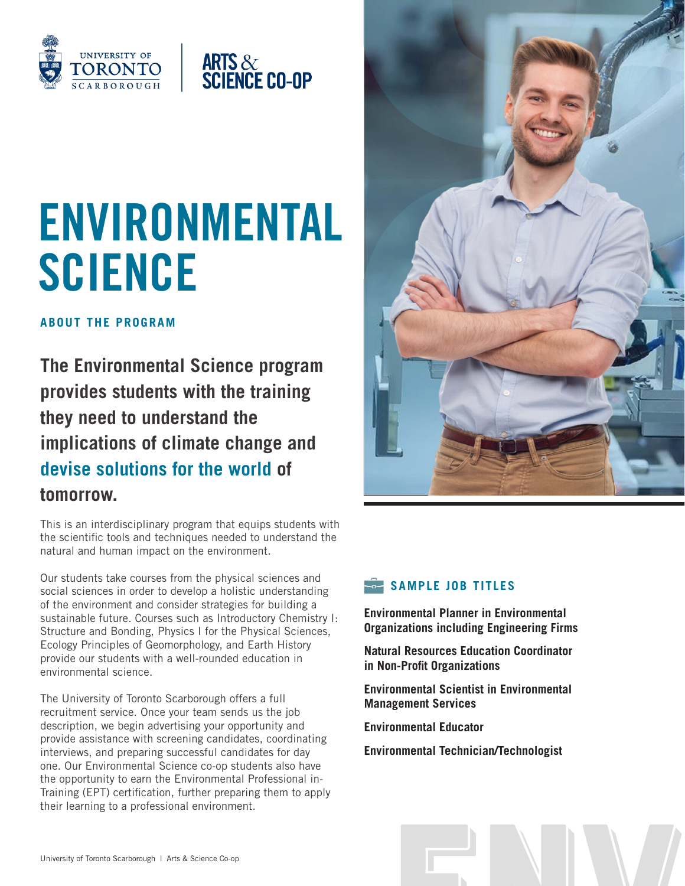



# **SCIENCE**

**ABOUT THE PROGRAM**

**The Environmental Science program provides students with the training they need to understand the implications of climate change and devise solutions for the world of tomorrow.** 

This is an interdisciplinary program that equips students with the scientific tools and techniques needed to understand the natural and human impact on the environment.

Our students take courses from the physical sciences and social sciences in order to develop a holistic understanding of the environment and consider strategies for building a sustainable future. Courses such as Introductory Chemistry I: Structure and Bonding, Physics I for the Physical Sciences, Ecology Principles of Geomorphology, and Earth History provide our students with a well-rounded education in environmental science.

Environmental science.<br>
The University of Toronto Scarborough offers a full<br>
recruitment service. Once your team sends us the job<br>
description, we begin advertising your opportunity and<br>
provide assistance with screening c The University of Toronto Scarborough offers a full recruitment service. Once your team sends us the job description, we begin advertising your opportunity and provide assistance with screening candidates, coordinating interviews, and preparing successful candidates for day one. Our Environmental Science co-op students also have the opportunity to earn the Environmental Professional in-Training (EPT) certification, further preparing them to apply their learning to a professional environment.



## SAMPLE JOB TITLES

**Environmental Planner in Environmental Organizations including Engineering Firms**

**Natural Resources Education Coordinator in Non-Profit Organizations**

**Environmental Scientist in Environmental Management Services**

**Environmental Educator**

**Environmental Technician/Technologist**

University of Toronto Scarborough | Arts & Science Co-op